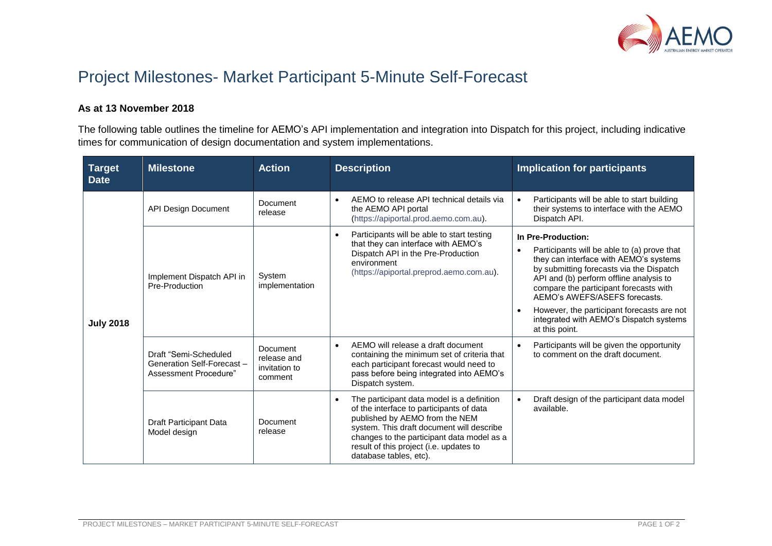

## Project Milestones- Market Participant 5-Minute Self-Forecast

## **As at 13 November 2018**

The following table outlines the timeline for AEMO's API implementation and integration into Dispatch for this project, including indicative times for communication of design documentation and system implementations.

| <b>Target</b><br><b>Date</b> | <b>Milestone</b>                                                             | <b>Action</b>                                       | <b>Description</b>                                                                                                                                                                                                                                                                       | <b>Implication for participants</b>                                                                                                                                                                                                                                                                                                                                                                                |
|------------------------------|------------------------------------------------------------------------------|-----------------------------------------------------|------------------------------------------------------------------------------------------------------------------------------------------------------------------------------------------------------------------------------------------------------------------------------------------|--------------------------------------------------------------------------------------------------------------------------------------------------------------------------------------------------------------------------------------------------------------------------------------------------------------------------------------------------------------------------------------------------------------------|
| <b>July 2018</b>             | <b>API Design Document</b>                                                   | Document<br>release                                 | AEMO to release API technical details via<br>the AEMO API portal<br>(https://apiportal.prod.aemo.com.au).                                                                                                                                                                                | Participants will be able to start building<br>$\bullet$<br>their systems to interface with the AEMO<br>Dispatch API.                                                                                                                                                                                                                                                                                              |
|                              | Implement Dispatch API in<br>Pre-Production                                  | System<br>implementation                            | Participants will be able to start testing<br>that they can interface with AEMO's<br>Dispatch API in the Pre-Production<br>environment<br>(https://apiportal.preprod.aemo.com.au).                                                                                                       | In Pre-Production:<br>Participants will be able to (a) prove that<br>$\bullet$<br>they can interface with AEMO's systems<br>by submitting forecasts via the Dispatch<br>API and (b) perform offline analysis to<br>compare the participant forecasts with<br>AEMO's AWEFS/ASEFS forecasts.<br>However, the participant forecasts are not<br>$\bullet$<br>integrated with AEMO's Dispatch systems<br>at this point. |
|                              | Draft "Semi-Scheduled<br>Generation Self-Forecast -<br>Assessment Procedure" | Document<br>release and<br>invitation to<br>comment | AEMO will release a draft document<br>containing the minimum set of criteria that<br>each participant forecast would need to<br>pass before being integrated into AEMO's<br>Dispatch system.                                                                                             | Participants will be given the opportunity<br>$\bullet$<br>to comment on the draft document.                                                                                                                                                                                                                                                                                                                       |
|                              | Draft Participant Data<br>Model design                                       | Document<br>release                                 | The participant data model is a definition<br>of the interface to participants of data<br>published by AEMO from the NEM<br>system. This draft document will describe<br>changes to the participant data model as a<br>result of this project (i.e. updates to<br>database tables, etc). | Draft design of the participant data model<br>$\bullet$<br>available.                                                                                                                                                                                                                                                                                                                                              |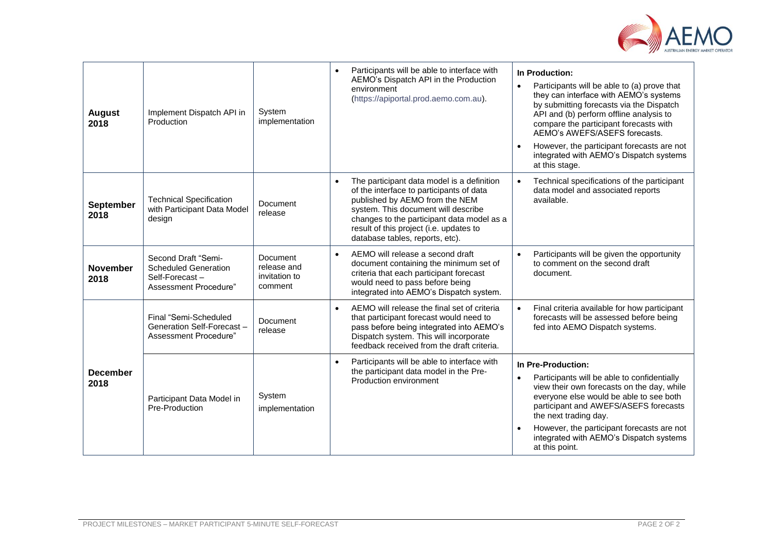

| <b>August</b><br>2018    | Implement Dispatch API in<br>Production                                                       | System<br>implementation                            | Participants will be able to interface with<br>In Production:<br>AEMO's Dispatch API in the Production<br>Participants will be able to (a) prove that<br>$\bullet$<br>environment<br>they can interface with AEMO's systems<br>(https://apiportal.prod.aemo.com.au).<br>by submitting forecasts via the Dispatch<br>API and (b) perform offline analysis to<br>compare the participant forecasts with<br>AEMO's AWEFS/ASEFS forecasts.<br>However, the participant forecasts are not<br>integrated with AEMO's Dispatch systems<br>at this stage. |
|--------------------------|-----------------------------------------------------------------------------------------------|-----------------------------------------------------|---------------------------------------------------------------------------------------------------------------------------------------------------------------------------------------------------------------------------------------------------------------------------------------------------------------------------------------------------------------------------------------------------------------------------------------------------------------------------------------------------------------------------------------------------|
| <b>September</b><br>2018 | <b>Technical Specification</b><br>with Participant Data Model<br>design                       | Document<br>release                                 | The participant data model is a definition<br>Technical specifications of the participant<br>$\bullet$<br>$\bullet$<br>of the interface to participants of data<br>data model and associated reports<br>published by AEMO from the NEM<br>available.<br>system. This document will describe<br>changes to the participant data model as a<br>result of this project (i.e. updates to<br>database tables, reports, etc).                                                                                                                           |
| <b>November</b><br>2018  | Second Draft "Semi-<br><b>Scheduled Generation</b><br>Self-Forecast-<br>Assessment Procedure" | Document<br>release and<br>invitation to<br>comment | Participants will be given the opportunity<br>AEMO will release a second draft<br>$\bullet$<br>$\bullet$<br>to comment on the second draft<br>document containing the minimum set of<br>criteria that each participant forecast<br>document.<br>would need to pass before being<br>integrated into AEMO's Dispatch system.                                                                                                                                                                                                                        |
| <b>December</b><br>2018  | Final "Semi-Scheduled<br>Generation Self-Forecast-<br>Assessment Procedure"                   | Document<br>release                                 | AEMO will release the final set of criteria<br>Final criteria available for how participant<br>$\bullet$<br>$\bullet$<br>forecasts will be assessed before being<br>that participant forecast would need to<br>pass before being integrated into AEMO's<br>fed into AEMO Dispatch systems.<br>Dispatch system. This will incorporate<br>feedback received from the draft criteria.                                                                                                                                                                |
|                          | Participant Data Model in<br>Pre-Production                                                   | System<br>implementation                            | Participants will be able to interface with<br>$\bullet$<br>In Pre-Production:<br>the participant data model in the Pre-<br>Participants will be able to confidentially<br>$\bullet$<br>Production environment<br>view their own forecasts on the day, while<br>everyone else would be able to see both<br>participant and AWEFS/ASEFS forecasts<br>the next trading day.<br>However, the participant forecasts are not<br>integrated with AEMO's Dispatch systems<br>at this point.                                                              |